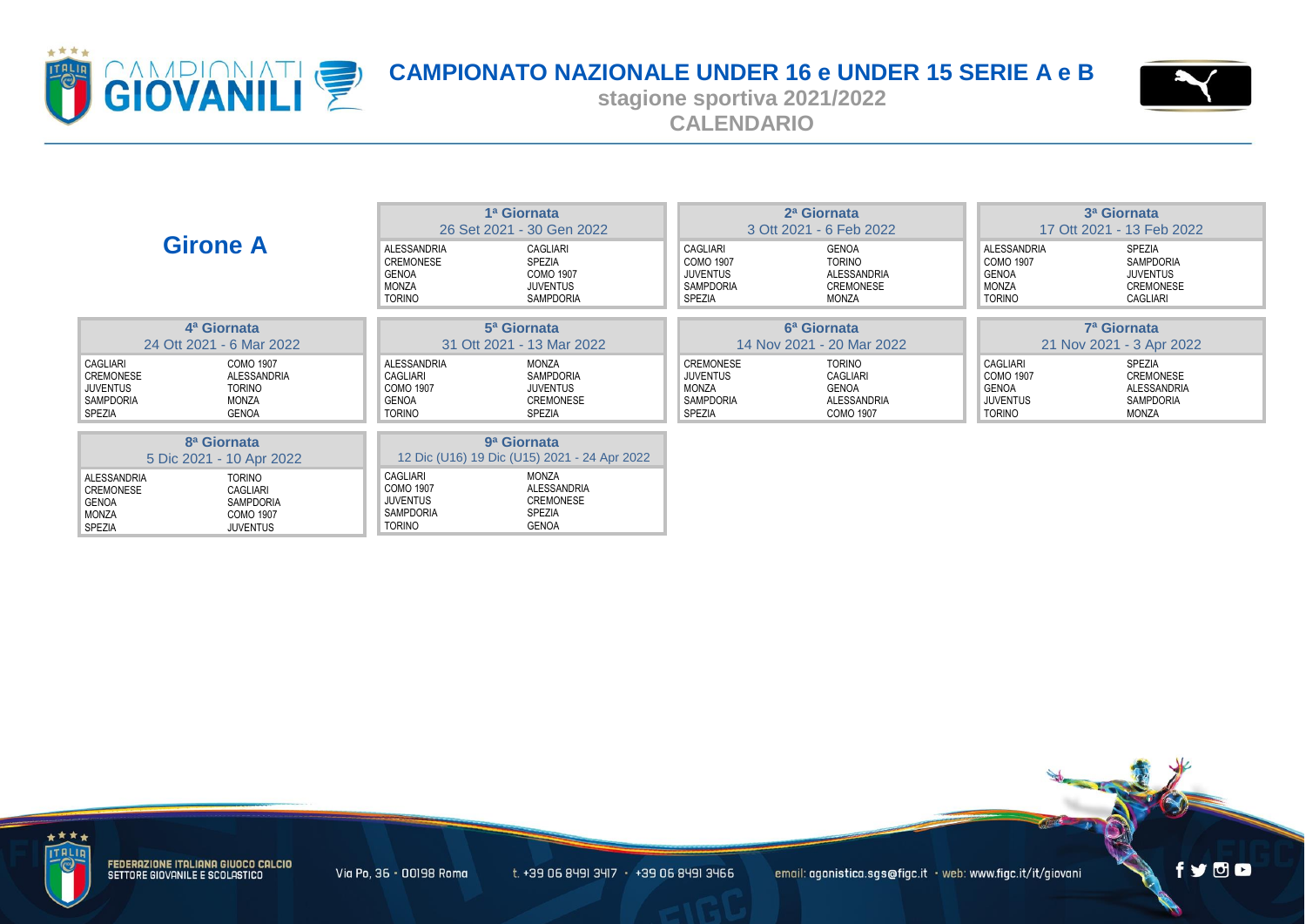



**stagione sportiva 2021/2022 CALENDARIO**

|                                                                                                                                                                                                      | 1ª Giornata<br>26 Set 2021 - 30 Gen 2022                                                                                                                          |                                                                               | 2 <sup>a</sup> Giornata<br>3 Ott 2021 - 6 Feb 2022                    |                                                                           | 3ª Giornata<br>17 Ott 2021 - 13 Feb 2022                               |  |
|------------------------------------------------------------------------------------------------------------------------------------------------------------------------------------------------------|-------------------------------------------------------------------------------------------------------------------------------------------------------------------|-------------------------------------------------------------------------------|-----------------------------------------------------------------------|---------------------------------------------------------------------------|------------------------------------------------------------------------|--|
| <b>Girone A</b>                                                                                                                                                                                      | <b>ALESSANDRIA</b><br>CAGLIARI<br><b>CREMONESE</b><br>SPEZIA<br><b>COMO 1907</b><br>GENOA<br><b>MONZA</b><br><b>JUVENTUS</b><br><b>TORINO</b><br><b>SAMPDORIA</b> | CAGLIARI<br><b>COMO 1907</b><br><b>JUVENTUS</b><br><b>SAMPDORIA</b><br>SPEZIA | <b>GENOA</b><br><b>TORINO</b><br>ALESSANDRIA<br>CREMONESE<br>MONZA    | ALESSANDRIA<br>COMO 1907<br><b>GENOA</b><br><b>MONZA</b><br><b>TORINO</b> | SPEZIA<br>SAMPDORIA<br><b>JUVENTUS</b><br>CREMONESE<br><b>CAGLIARI</b> |  |
| 4 <sup>a</sup> Giornata                                                                                                                                                                              | 5 <sup>a</sup> Giornata                                                                                                                                           |                                                                               | 6 <sup>a</sup> Giornata                                               |                                                                           | 7 <sup>a</sup> Giornata                                                |  |
| 24 Ott 2021 - 6 Mar 2022                                                                                                                                                                             | 31 Ott 2021 - 13 Mar 2022                                                                                                                                         | 14 Nov 2021 - 20 Mar 2022                                                     |                                                                       | 21 Nov 2021 - 3 Apr 2022                                                  |                                                                        |  |
| CAGLIARI<br><b>COMO 1907</b><br>CREMONESE<br>ALESSANDRIA<br><b>JUVENTUS</b><br><b>TORINO</b><br><b>SAMPDORIA</b><br>MONZA<br>SPEZIA<br><b>GENOA</b>                                                  | <b>ALESSANDRIA</b><br>MONZA<br><b>CAGLIARI</b><br>SAMPDORIA<br><b>COMO 1907</b><br><b>JUVENTUS</b><br><b>GENOA</b><br>CREMONESE<br><b>TORINO</b><br>SPEZIA        | CREMONESE<br>JUVENTUS<br>MONZA<br>SAMPDORIA<br>SPEZIA                         | <b>TORINO</b><br>CAGLIARI<br>GENOA<br>ALESSANDRIA<br><b>COMO 1907</b> | CAGLIARI<br>COMO 1907<br><b>GENOA</b><br><b>JUVENTUS</b><br><b>TORINO</b> | SPEZIA<br><b>CREMONESE</b><br>ALESSANDRIA<br>SAMPDORIA<br><b>MONZA</b> |  |
| 8 <sup>a</sup> Giornata<br>9 <sup>a</sup> Giornata<br>12 Dic (U16) 19 Dic (U15) 2021 - 24 Apr 2022                                                                                                   |                                                                                                                                                                   |                                                                               |                                                                       |                                                                           |                                                                        |  |
| 5 Dic 2021 - 10 Apr 2022<br><b>ALESSANDRIA</b><br><b>TORINO</b><br>CREMONESE<br>CAGLIARI<br><b>GENOA</b><br><b>SAMPDORIA</b><br><b>MONZA</b><br><b>COMO 1907</b><br><b>SPEZIA</b><br><b>JUVENTUS</b> | <b>CAGLIARI</b><br>MONZA<br><b>COMO 1907</b><br>ALESSANDRIA<br><b>JUVENTUS</b><br>CREMONESE<br><b>SAMPDORIA</b><br>SPEZIA<br><b>TORINO</b><br><b>GENOA</b>        |                                                                               |                                                                       |                                                                           |                                                                        |  |



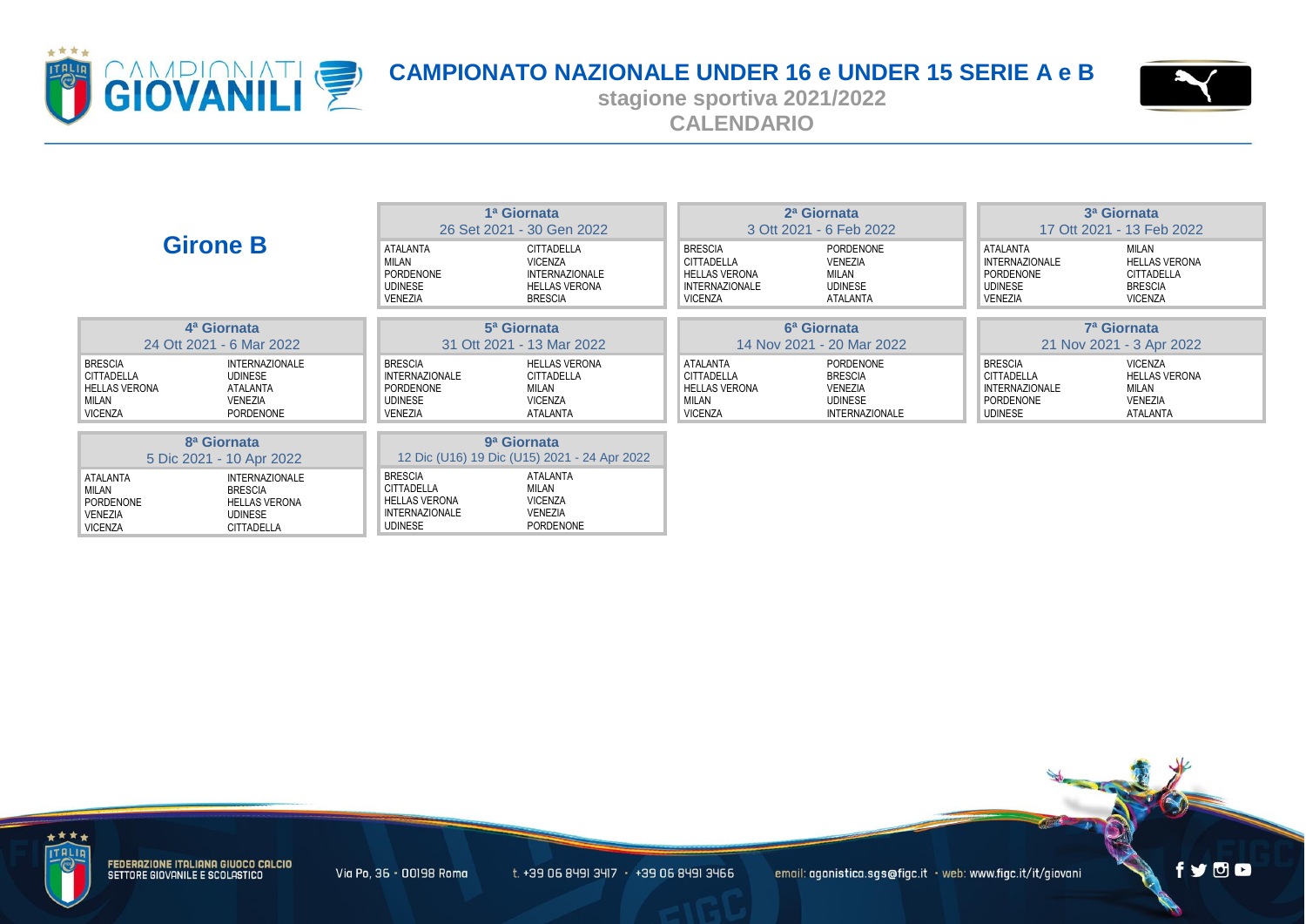



**stagione sportiva 2021/2022 CALENDARIO**

| <b>Girone B</b>                                                                               |                                                                                                 | 1ª Giornata<br>26 Set 2021 - 30 Gen 2022                                                               |                                                                                                 | 2ª Giornata<br>3 Ott 2021 - 6 Feb 2022                                                          |                                                                                          | 3ª Giornata<br>17 Ott 2021 - 13 Feb 2022                                             |                                                                                 |
|-----------------------------------------------------------------------------------------------|-------------------------------------------------------------------------------------------------|--------------------------------------------------------------------------------------------------------|-------------------------------------------------------------------------------------------------|-------------------------------------------------------------------------------------------------|------------------------------------------------------------------------------------------|--------------------------------------------------------------------------------------|---------------------------------------------------------------------------------|
|                                                                                               |                                                                                                 | <b>ATALANTA</b><br>MILAN<br>PORDENONE<br><b>UDINESE</b><br>VENEZIA                                     | CITTADELLA<br><b>VICENZA</b><br><b>INTERNAZIONALE</b><br><b>HELLAS VERONA</b><br><b>BRESCIA</b> | <b>BRESCIA</b><br>CITTADELLA<br><b>HELLAS VERONA</b><br><b>INTERNAZIONALE</b><br><b>VICENZA</b> | PORDENONE<br>VENEZIA<br><b>MILAN</b><br><b>UDINESE</b><br><b>ATALANTA</b>                | ATALANTA<br><b>INTERNAZIONALE</b><br>PORDENONE<br><b>UDINESE</b><br>VENEZIA          | MILAN<br><b>HELLAS VERONA</b><br><b>CITTADELLA</b><br><b>BRESCIA</b><br>VICENZA |
|                                                                                               | 4 <sup>a</sup> Giornata                                                                         | 5 <sup>a</sup> Giornata                                                                                |                                                                                                 | 6 <sup>a</sup> Giornata                                                                         |                                                                                          | 7 <sup>a</sup> Giornata                                                              |                                                                                 |
|                                                                                               | 24 Ott 2021 - 6 Mar 2022                                                                        |                                                                                                        | 31 Ott 2021 - 13 Mar 2022<br>14 Nov 2021 - 20 Mar 2022                                          |                                                                                                 |                                                                                          | 21 Nov 2021 - 3 Apr 2022                                                             |                                                                                 |
| <b>BRESCIA</b><br><b>CITTADELLA</b><br><b>HELLAS VERONA</b><br><b>MILAN</b><br><b>VICENZA</b> | <b>INTERNAZIONALE</b><br>UDINESE<br>ATALANTA<br>VENEZIA<br>PORDENONE                            | <b>BRESCIA</b><br><b>INTERNAZIONALE</b><br>PORDENONE<br><b>UDINESE</b><br><b>VENEZIA</b>               | <b>HELLAS VERONA</b><br>CITTADELLA<br>MILAN<br><b>VICENZA</b><br>ATALANTA                       | <b>ATALANTA</b><br>CITTADELLA<br><b>HELLAS VERONA</b><br>MILAN<br><b>VICENZA</b>                | PORDENONE<br><b>BRESCIA</b><br><b>VENEZIA</b><br><b>UDINESE</b><br><b>INTERNAZIONALE</b> | <b>BRESCIA</b><br>CITTADELLA<br><b>INTERNAZIONALE</b><br>PORDENONE<br><b>UDINESE</b> | VICENZA<br><b>HELLAS VERONA</b><br>MILAN<br><b>VENEZIA</b><br>ATALANTA          |
| 8 <sup>a</sup> Giornata<br>9 <sup>a</sup> Giornata                                            |                                                                                                 |                                                                                                        |                                                                                                 |                                                                                                 |                                                                                          |                                                                                      |                                                                                 |
|                                                                                               | 5 Dic 2021 - 10 Apr 2022                                                                        | 12 Dic (U16) 19 Dic (U15) 2021 - 24 Apr 2022                                                           |                                                                                                 |                                                                                                 |                                                                                          |                                                                                      |                                                                                 |
| ATALANTA<br><b>MILAN</b><br><b>PORDENONE</b><br><b>VENEZIA</b><br><b>VICENZA</b>              | <b>INTERNAZIONALE</b><br><b>BRESCIA</b><br><b>HELLAS VERONA</b><br>UDINESE<br><b>CITTADELLA</b> | <b>BRESCIA</b><br><b>CITTADELLA</b><br><b>HELLAS VERONA</b><br><b>INTERNAZIONALE</b><br><b>UDINESE</b> | ATALANTA<br>MILAN<br><b>VICENZA</b><br>VENEZIA<br>PORDENONE                                     |                                                                                                 |                                                                                          |                                                                                      |                                                                                 |



FEDERAZIONE ITALIANA GIUOCO CALCIO<br>SETTORE GIOVANILE E SCOLASTICO

Via Po, 36 · 00198 Roma

 $t. +39$  06 8491 3417  $+39$  06 8491 3466

email: agonistica.sgs@figc.it · web: www.figc.it/it/giovani

fydo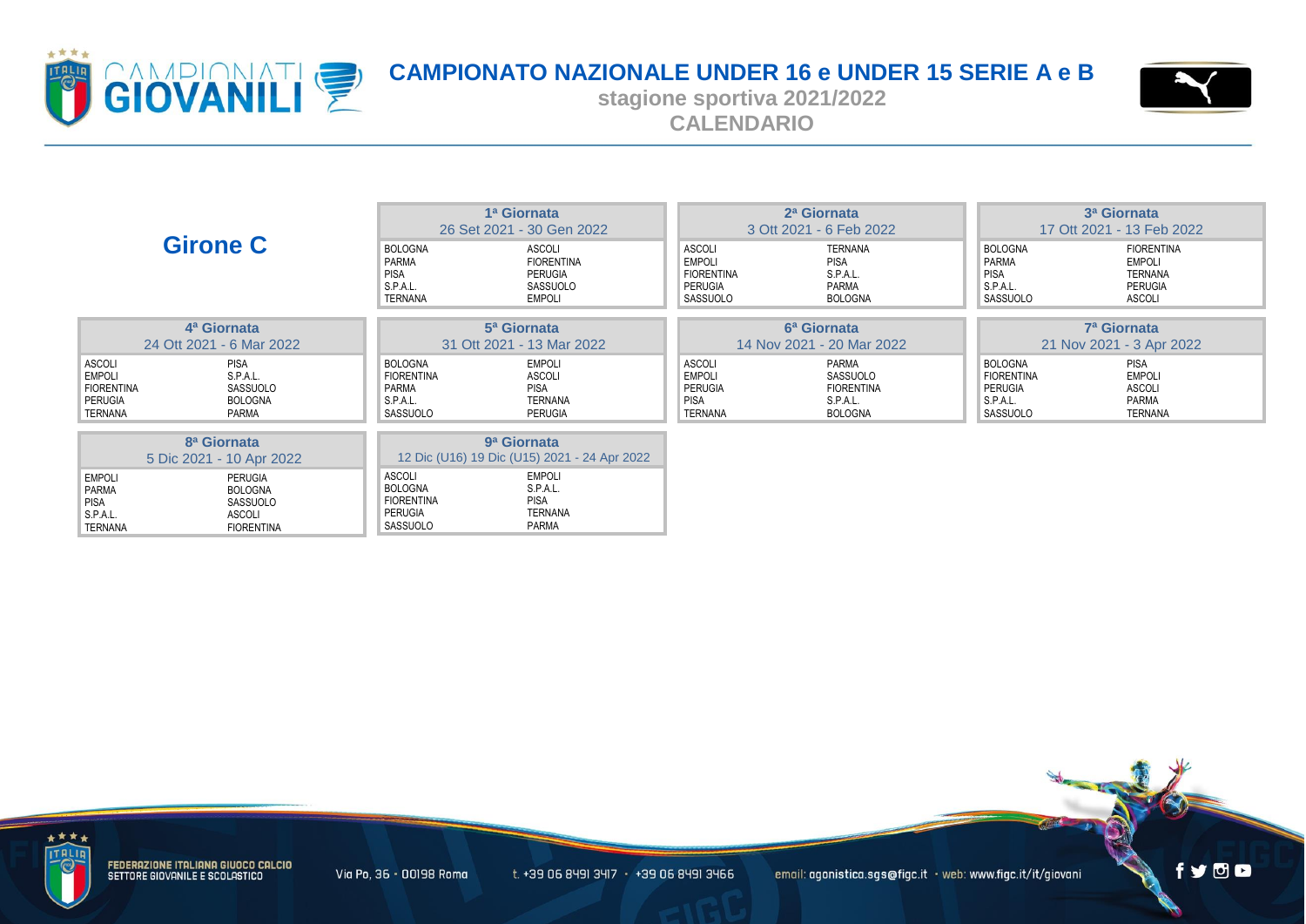



**stagione sportiva 2021/2022 CALENDARIO**

| <b>Girone C</b>                                                                                                                      |                                                                             | 1ª Giornata<br>26 Set 2021 - 30 Gen 2022                                |                                                                            | 2ª Giornata<br>3 Ott 2021 - 6 Feb 2022                               |                                                                        | 3 <sup>a</sup> Giornata<br>17 Ott 2021 - 13 Feb 2022                             |  |  |
|--------------------------------------------------------------------------------------------------------------------------------------|-----------------------------------------------------------------------------|-------------------------------------------------------------------------|----------------------------------------------------------------------------|----------------------------------------------------------------------|------------------------------------------------------------------------|----------------------------------------------------------------------------------|--|--|
|                                                                                                                                      | <b>BOLOGNA</b><br>PARMA<br><b>PISA</b><br>S.P.A.L.<br>TERNANA               | ASCOLI<br><b>FIORENTINA</b><br>PERUGIA<br>SASSUOLO<br><b>EMPOLI</b>     | <b>ASCOLI</b><br><b>EMPOLI</b><br><b>FIORENTINA</b><br>PERUGIA<br>SASSUOLO | <b>TERNANA</b><br><b>PISA</b><br>S.P.A.L.<br>PARMA<br><b>BOLOGNA</b> | <b>BOLOGNA</b><br>PARMA<br>PISA<br>S.P.A.L.<br>SASSUOLO                | <b>FIORENTINA</b><br><b>EMPOLI</b><br>TERNANA<br><b>PERUGIA</b><br><b>ASCOLI</b> |  |  |
| 4 <sup>a</sup> Giornata                                                                                                              |                                                                             | 5 <sup>a</sup> Giornata                                                 |                                                                            | 6 <sup>a</sup> Giornata                                              |                                                                        | 7 <sup>a</sup> Giornata                                                          |  |  |
| 24 Ott 2021 - 6 Mar 2022                                                                                                             |                                                                             | 31 Ott 2021 - 13 Mar 2022<br>14 Nov 2021 - 20 Mar 2022                  |                                                                            |                                                                      | 21 Nov 2021 - 3 Apr 2022                                               |                                                                                  |  |  |
| ASCOLI<br><b>PISA</b><br><b>EMPOLI</b><br>S.P.A.L.<br><b>FIORENTINA</b><br>SASSUOLO<br><b>PERUGIA</b><br>BOLOGNA<br>TERNANA<br>PARMA | <b>BOLOGNA</b><br><b>FIORENTINA</b><br>PARMA<br>S.P.A.L.<br>SASSUOLO        | <b>EMPOLI</b><br><b>ASCOLI</b><br><b>PISA</b><br>TERNANA<br>PERUGIA     | <b>ASCOLI</b><br><b>EMPOLI</b><br>PERUGIA<br><b>PISA</b><br><b>TERNANA</b> | PARMA<br>SASSUOLO<br><b>FIORENTINA</b><br>S.P.A.L.<br><b>BOLOGNA</b> | <b>BOLOGNA</b><br><b>FIORENTINA</b><br>PERUGIA<br>S.P.A.L.<br>SASSUOLO | PISA<br><b>EMPOLI</b><br><b>ASCOLI</b><br>PARMA<br>TERNANA                       |  |  |
| 8 <sup>a</sup> Giornata<br>5 Dic 2021 - 10 Apr 2022                                                                                  |                                                                             | 9 <sup>a</sup> Giornata<br>12 Dic (U16) 19 Dic (U15) 2021 - 24 Apr 2022 |                                                                            |                                                                      |                                                                        |                                                                                  |  |  |
| <b>EMPOLI</b><br>PERUGIA<br><b>PARMA</b><br><b>BOLOGNA</b><br>PISA<br>SASSUOLO<br>S.P.A.L.<br>ASCOLI<br>TERNANA<br><b>FIORENTINA</b> | ASCOLI<br><b>BOLOGNA</b><br><b>FIORENTINA</b><br><b>PERUGIA</b><br>SASSUOLO | <b>EMPOLI</b><br>S.P.A.L.<br><b>PISA</b><br><b>TERNANA</b><br>PARMA     |                                                                            |                                                                      |                                                                        |                                                                                  |  |  |



FEDERAZIONE ITALIANA GIUOCO CALCIO<br>SETTORE GIOVANILE E SCOLASTICO

Via Po, 36 · 00198 Roma

 $t. +39$  06 8491 3417  $+39$  06 8491 3466

email: agonistica.sgs@figc.it · web: www.figc.it/it/giovani

fydo